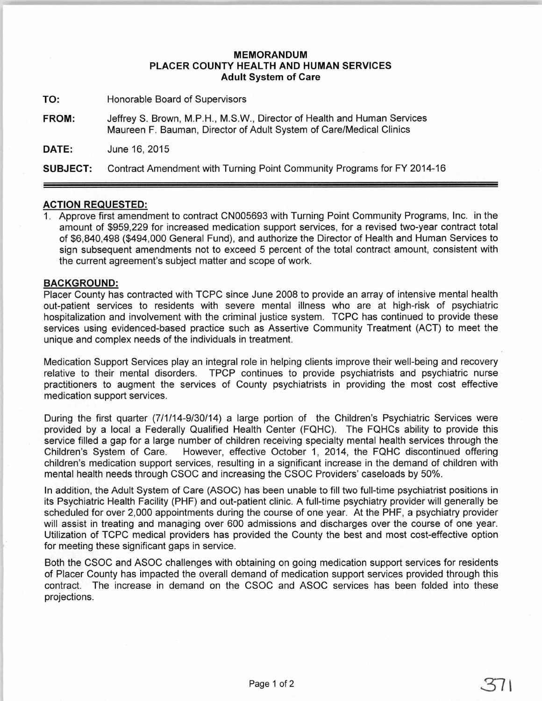## MEMORANDUM PLACER COUNTY HEALTH AND HUMAN SERVICES Adult System of Care

TO: Honorable Board of Supervisors

FROM: JeffreyS. Brown, M.P.H., M.S.W., Director of Health and Human Services Maureen F. Bauman, Director of Adult System of Care/Medical Clinics

DATE: June 16, 2015

SUBJECT: Contract Amendment with Turning Point Community Programs for FY 2014-16

## ACTION REQUESTED:

1. Approve first amendment to contract CN005693 with Turning Point Community Programs, Inc. in the amount of \$959,229 for increased medication support services, for a revised two-year contract total of \$6,840,498 (\$494,000 General Fund), and authorize the Director of Health and Human Services to sign subsequent amendments not to exceed 5 percent of the total contract amount, consistent with the current agreement's subject matter and scope of work.

## BACKGROUND:

Placer County has contracted with TCPC since June 2008 to provide an array of intensive mental health out-patient services to residents with severe mental illness who are at high-risk of psychiatric hospitalization and involvement with the criminal justice system. TCPC has continued to provide these services using evidenced-based practice such as Assertive Community Treatment (ACT) to meet the unique and complex needs of the individuals in treatment.

Medication Support Services play an integral role in helping clients improve their well-being and recovery relative to their mental disorders. TPCP continues to provide psychiatrists and psychiatric nurse practitioners to augment the services of County psychiatrists in providing the most cost effective medication support services.

During the first quarter (7/1/14-9/30/14) a large portion of the Children's Psychiatric Services were provided by a local a Federally Qualified Health Center (FQHC). The FQHCs ability to provide this service filled a gap for a large number of children receiving specialty mental health services through the Children's System of Care. However, effective October 1, 2014, the FQHC discontinued offering children's medication support services, resulting in a significant increase in the demand of children with mental health needs through CSOC and increasing the CSOC Providers' caseloads by 50%.

In addition, the Adult System of Care (ASOC) has been unable to fill two full-time psychiatrist positions in its Psychiatric Health Facility (PHF) and out-patient clinic. A full-time psychiatry provider will generally be scheduled for over 2,000 appointments during the course of one year. At the PHF, a psychiatry provider will assist in treating and managing over 600 admissions and discharges over the course of one year. Utilization of TCPC medical providers has provided the County the best and most cost-effective option for meeting these significant gaps in service.

Both the CSOC and ASOC challenges with obtaining on going medication support services for residents of Placer County has impacted the overall demand of medication support services provided through this contract. The increase in demand on the CSOC and ASOC services has been folded into these projections.